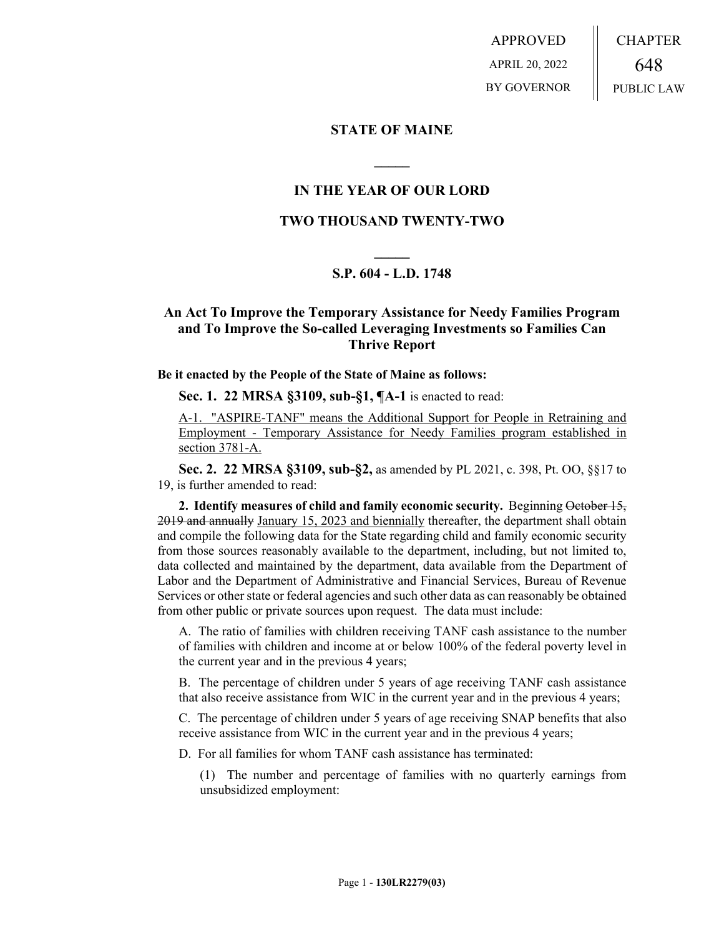APPROVED APRIL 20, 2022 BY GOVERNOR CHAPTER 648 PUBLIC LAW

### **STATE OF MAINE**

## **IN THE YEAR OF OUR LORD**

**\_\_\_\_\_**

### **TWO THOUSAND TWENTY-TWO**

# **\_\_\_\_\_ S.P. 604 - L.D. 1748**

# **An Act To Improve the Temporary Assistance for Needy Families Program and To Improve the So-called Leveraging Investments so Families Can Thrive Report**

### **Be it enacted by the People of the State of Maine as follows:**

**Sec. 1. 22 MRSA §3109, sub-§1, ¶A-1** is enacted to read:

A-1. "ASPIRE-TANF" means the Additional Support for People in Retraining and Employment - Temporary Assistance for Needy Families program established in section 3781-A.

**Sec. 2. 22 MRSA §3109, sub-§2,** as amended by PL 2021, c. 398, Pt. OO, §§17 to 19, is further amended to read:

**2. Identify measures of child and family economic security.** Beginning October 15, 2019 and annually January 15, 2023 and biennially thereafter, the department shall obtain and compile the following data for the State regarding child and family economic security from those sources reasonably available to the department, including, but not limited to, data collected and maintained by the department, data available from the Department of Labor and the Department of Administrative and Financial Services, Bureau of Revenue Services or other state or federal agencies and such other data as can reasonably be obtained from other public or private sources upon request. The data must include:

A. The ratio of families with children receiving TANF cash assistance to the number of families with children and income at or below 100% of the federal poverty level in the current year and in the previous 4 years;

B. The percentage of children under 5 years of age receiving TANF cash assistance that also receive assistance from WIC in the current year and in the previous 4 years;

C. The percentage of children under 5 years of age receiving SNAP benefits that also receive assistance from WIC in the current year and in the previous 4 years;

D. For all families for whom TANF cash assistance has terminated:

(1) The number and percentage of families with no quarterly earnings from unsubsidized employment: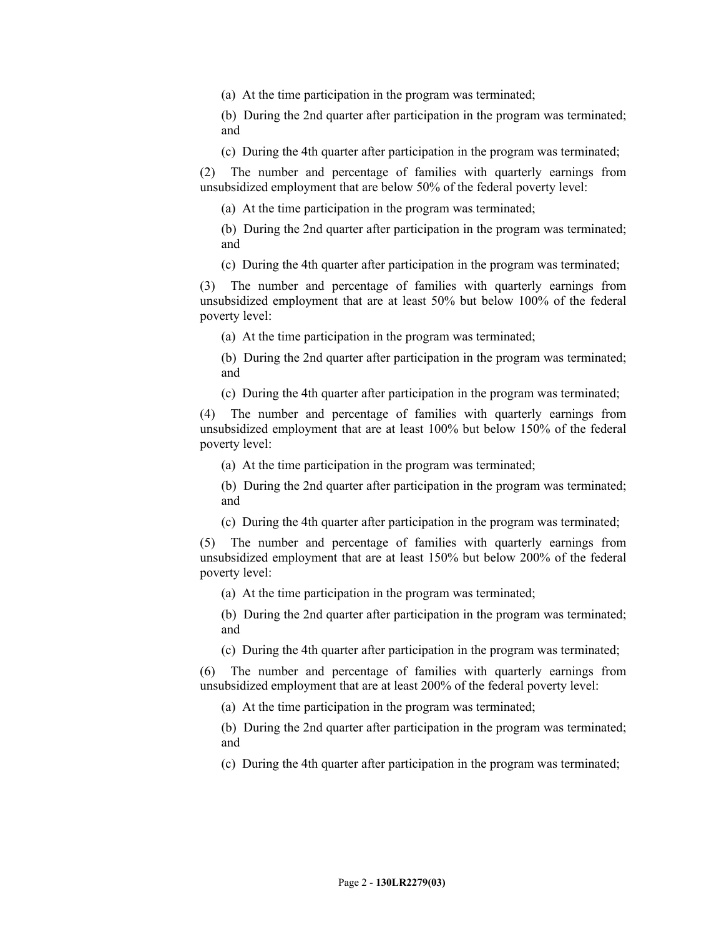(a) At the time participation in the program was terminated;

(b) During the 2nd quarter after participation in the program was terminated; and

(c) During the 4th quarter after participation in the program was terminated;

(2) The number and percentage of families with quarterly earnings from unsubsidized employment that are below 50% of the federal poverty level:

(a) At the time participation in the program was terminated;

(b) During the 2nd quarter after participation in the program was terminated; and

(c) During the 4th quarter after participation in the program was terminated;

(3) The number and percentage of families with quarterly earnings from unsubsidized employment that are at least 50% but below 100% of the federal poverty level:

(a) At the time participation in the program was terminated;

(b) During the 2nd quarter after participation in the program was terminated; and

(c) During the 4th quarter after participation in the program was terminated;

(4) The number and percentage of families with quarterly earnings from unsubsidized employment that are at least 100% but below 150% of the federal poverty level:

(a) At the time participation in the program was terminated;

(b) During the 2nd quarter after participation in the program was terminated; and

(c) During the 4th quarter after participation in the program was terminated;

(5) The number and percentage of families with quarterly earnings from unsubsidized employment that are at least 150% but below 200% of the federal poverty level:

(a) At the time participation in the program was terminated;

(b) During the 2nd quarter after participation in the program was terminated; and

(c) During the 4th quarter after participation in the program was terminated;

(6) The number and percentage of families with quarterly earnings from unsubsidized employment that are at least 200% of the federal poverty level:

(a) At the time participation in the program was terminated;

(b) During the 2nd quarter after participation in the program was terminated; and

(c) During the 4th quarter after participation in the program was terminated;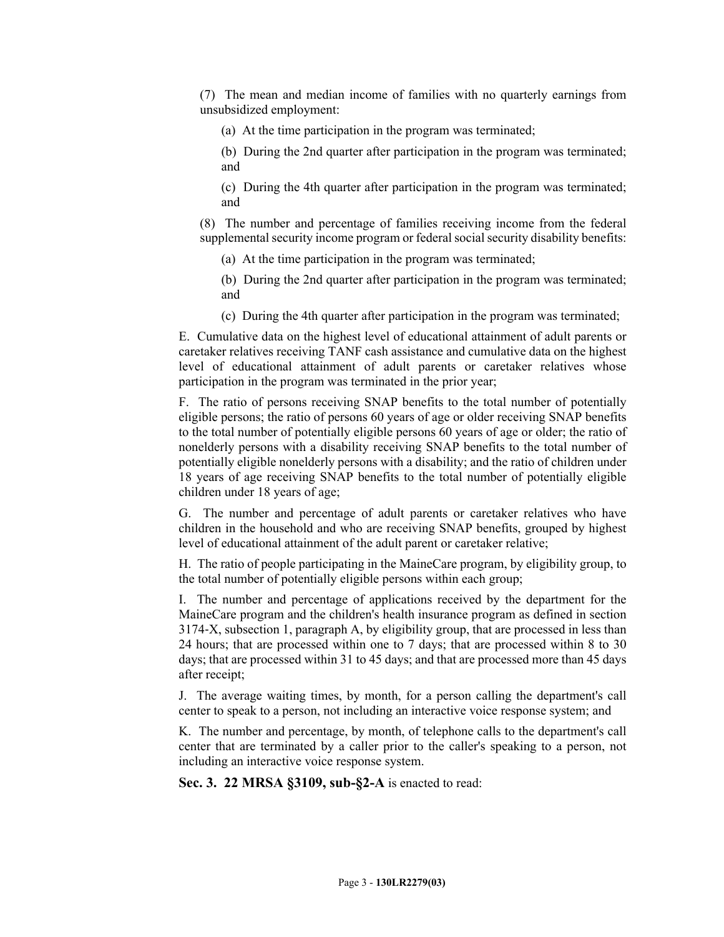(7) The mean and median income of families with no quarterly earnings from unsubsidized employment:

(a) At the time participation in the program was terminated;

(b) During the 2nd quarter after participation in the program was terminated; and

(c) During the 4th quarter after participation in the program was terminated; and

(8) The number and percentage of families receiving income from the federal supplemental security income program or federal social security disability benefits:

(a) At the time participation in the program was terminated;

(b) During the 2nd quarter after participation in the program was terminated; and

(c) During the 4th quarter after participation in the program was terminated;

E. Cumulative data on the highest level of educational attainment of adult parents or caretaker relatives receiving TANF cash assistance and cumulative data on the highest level of educational attainment of adult parents or caretaker relatives whose participation in the program was terminated in the prior year;

F. The ratio of persons receiving SNAP benefits to the total number of potentially eligible persons; the ratio of persons 60 years of age or older receiving SNAP benefits to the total number of potentially eligible persons 60 years of age or older; the ratio of nonelderly persons with a disability receiving SNAP benefits to the total number of potentially eligible nonelderly persons with a disability; and the ratio of children under 18 years of age receiving SNAP benefits to the total number of potentially eligible children under 18 years of age;

G. The number and percentage of adult parents or caretaker relatives who have children in the household and who are receiving SNAP benefits, grouped by highest level of educational attainment of the adult parent or caretaker relative;

H. The ratio of people participating in the MaineCare program, by eligibility group, to the total number of potentially eligible persons within each group;

I. The number and percentage of applications received by the department for the MaineCare program and the children's health insurance program as defined in section 3174‑X, subsection 1, paragraph A, by eligibility group, that are processed in less than 24 hours; that are processed within one to 7 days; that are processed within 8 to 30 days; that are processed within 31 to 45 days; and that are processed more than 45 days after receipt;

J. The average waiting times, by month, for a person calling the department's call center to speak to a person, not including an interactive voice response system; and

K. The number and percentage, by month, of telephone calls to the department's call center that are terminated by a caller prior to the caller's speaking to a person, not including an interactive voice response system.

**Sec. 3. 22 MRSA §3109, sub-§2-A** is enacted to read: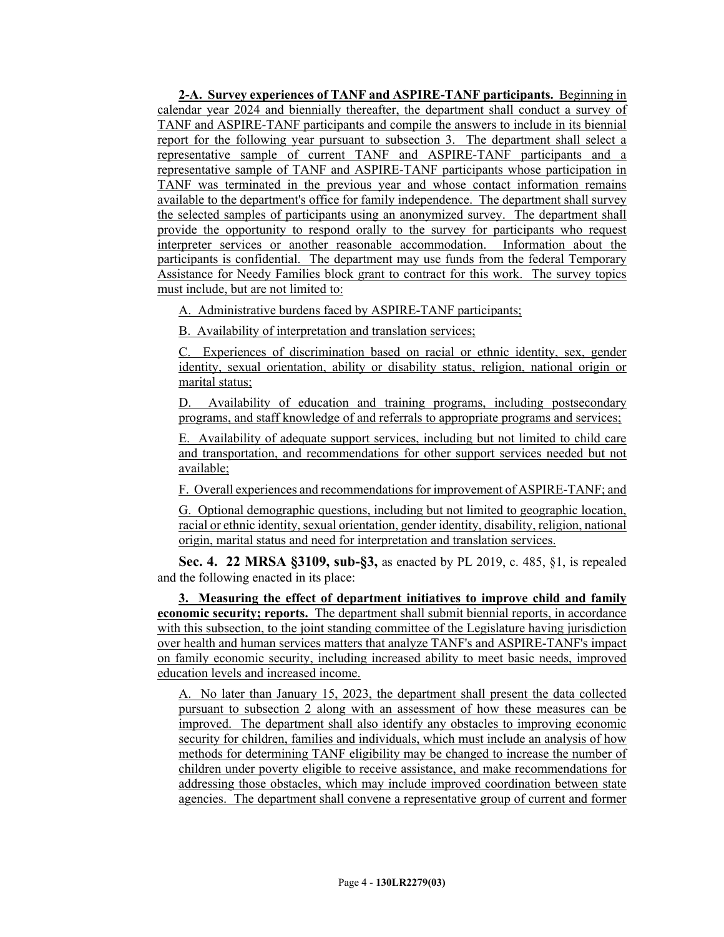**2-A. Survey experiences of TANF and ASPIRE-TANF participants.** Beginning in calendar year 2024 and biennially thereafter, the department shall conduct a survey of TANF and ASPIRE-TANF participants and compile the answers to include in its biennial report for the following year pursuant to subsection 3. The department shall select a representative sample of current TANF and ASPIRE-TANF participants and a representative sample of TANF and ASPIRE-TANF participants whose participation in TANF was terminated in the previous year and whose contact information remains available to the department's office for family independence. The department shall survey the selected samples of participants using an anonymized survey. The department shall provide the opportunity to respond orally to the survey for participants who request interpreter services or another reasonable accommodation. Information about the participants is confidential. The department may use funds from the federal Temporary Assistance for Needy Families block grant to contract for this work. The survey topics must include, but are not limited to:

A. Administrative burdens faced by ASPIRE-TANF participants;

B. Availability of interpretation and translation services;

C. Experiences of discrimination based on racial or ethnic identity, sex, gender identity, sexual orientation, ability or disability status, religion, national origin or marital status;

D. Availability of education and training programs, including postsecondary programs, and staff knowledge of and referrals to appropriate programs and services;

E. Availability of adequate support services, including but not limited to child care and transportation, and recommendations for other support services needed but not available;

F. Overall experiences and recommendations for improvement of ASPIRE-TANF; and

G. Optional demographic questions, including but not limited to geographic location, racial or ethnic identity, sexual orientation, gender identity, disability, religion, national origin, marital status and need for interpretation and translation services.

**Sec. 4. 22 MRSA §3109, sub-§3,** as enacted by PL 2019, c. 485, §1, is repealed and the following enacted in its place:

**3. Measuring the effect of department initiatives to improve child and family economic security; reports.** The department shall submit biennial reports, in accordance with this subsection, to the joint standing committee of the Legislature having jurisdiction over health and human services matters that analyze TANF's and ASPIRE-TANF's impact on family economic security, including increased ability to meet basic needs, improved education levels and increased income.

A. No later than January 15, 2023, the department shall present the data collected pursuant to subsection 2 along with an assessment of how these measures can be improved. The department shall also identify any obstacles to improving economic security for children, families and individuals, which must include an analysis of how methods for determining TANF eligibility may be changed to increase the number of children under poverty eligible to receive assistance, and make recommendations for addressing those obstacles, which may include improved coordination between state agencies. The department shall convene a representative group of current and former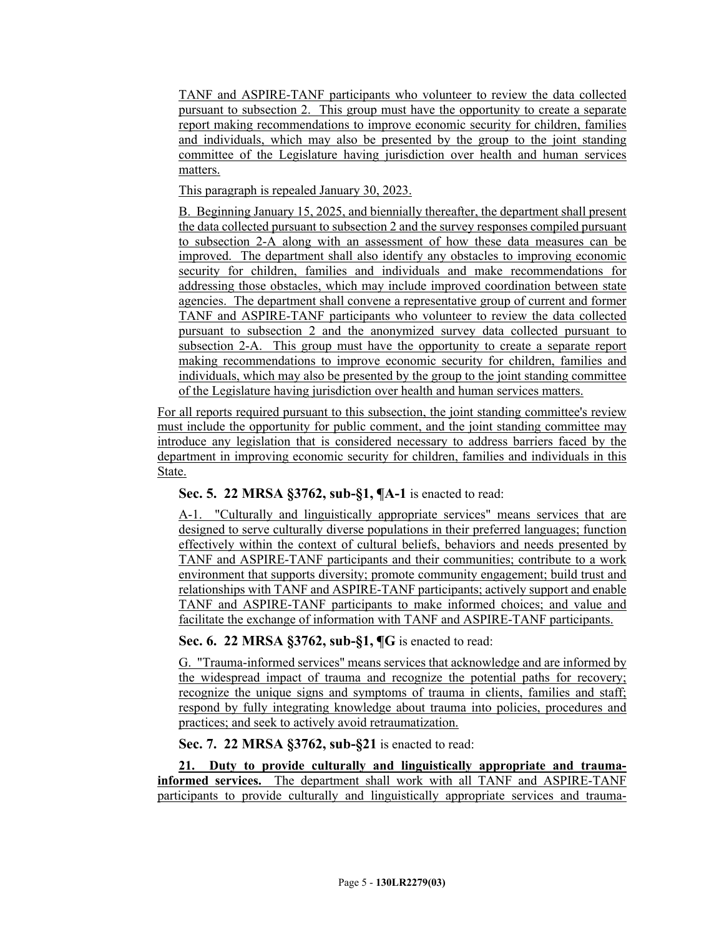TANF and ASPIRE-TANF participants who volunteer to review the data collected pursuant to subsection 2. This group must have the opportunity to create a separate report making recommendations to improve economic security for children, families and individuals, which may also be presented by the group to the joint standing committee of the Legislature having jurisdiction over health and human services matters.

This paragraph is repealed January 30, 2023.

B. Beginning January 15, 2025, and biennially thereafter, the department shall present the data collected pursuant to subsection 2 and the survey responses compiled pursuant to subsection 2-A along with an assessment of how these data measures can be improved. The department shall also identify any obstacles to improving economic security for children, families and individuals and make recommendations for addressing those obstacles, which may include improved coordination between state agencies. The department shall convene a representative group of current and former TANF and ASPIRE-TANF participants who volunteer to review the data collected pursuant to subsection 2 and the anonymized survey data collected pursuant to subsection 2-A. This group must have the opportunity to create a separate report making recommendations to improve economic security for children, families and individuals, which may also be presented by the group to the joint standing committee of the Legislature having jurisdiction over health and human services matters.

For all reports required pursuant to this subsection, the joint standing committee's review must include the opportunity for public comment, and the joint standing committee may introduce any legislation that is considered necessary to address barriers faced by the department in improving economic security for children, families and individuals in this State.

# **Sec. 5. 22 MRSA §3762, sub-§1, ¶A-1** is enacted to read:

A-1. "Culturally and linguistically appropriate services" means services that are designed to serve culturally diverse populations in their preferred languages; function effectively within the context of cultural beliefs, behaviors and needs presented by TANF and ASPIRE-TANF participants and their communities; contribute to a work environment that supports diversity; promote community engagement; build trust and relationships with TANF and ASPIRE-TANF participants; actively support and enable TANF and ASPIRE-TANF participants to make informed choices; and value and facilitate the exchange of information with TANF and ASPIRE-TANF participants.

# **Sec. 6. 22 MRSA §3762, sub-§1, ¶G** is enacted to read:

G. "Trauma-informed services" means services that acknowledge and are informed by the widespread impact of trauma and recognize the potential paths for recovery; recognize the unique signs and symptoms of trauma in clients, families and staff; respond by fully integrating knowledge about trauma into policies, procedures and practices; and seek to actively avoid retraumatization.

**Sec. 7. 22 MRSA §3762, sub-§21** is enacted to read:

**21. Duty to provide culturally and linguistically appropriate and traumainformed services.** The department shall work with all TANF and ASPIRE-TANF participants to provide culturally and linguistically appropriate services and trauma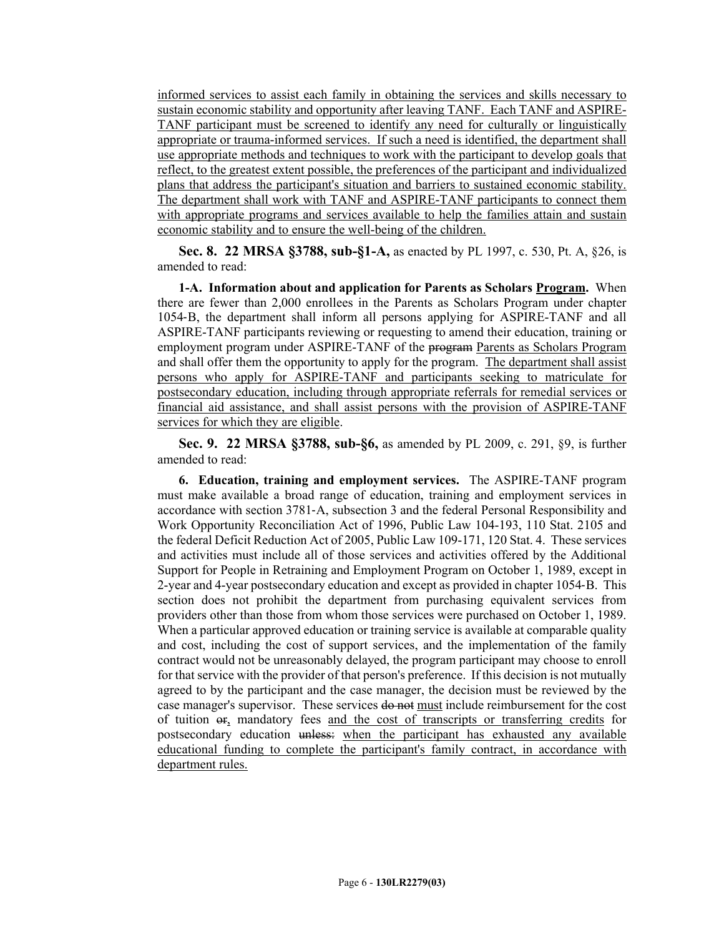informed services to assist each family in obtaining the services and skills necessary to sustain economic stability and opportunity after leaving TANF. Each TANF and ASPIRE-TANF participant must be screened to identify any need for culturally or linguistically appropriate or trauma-informed services. If such a need is identified, the department shall use appropriate methods and techniques to work with the participant to develop goals that reflect, to the greatest extent possible, the preferences of the participant and individualized plans that address the participant's situation and barriers to sustained economic stability. The department shall work with TANF and ASPIRE-TANF participants to connect them with appropriate programs and services available to help the families attain and sustain economic stability and to ensure the well-being of the children.

**Sec. 8. 22 MRSA §3788, sub-§1-A,** as enacted by PL 1997, c. 530, Pt. A, §26, is amended to read:

**1-A. Information about and application for Parents as Scholars Program.** When there are fewer than 2,000 enrollees in the Parents as Scholars Program under chapter 1054‑B, the department shall inform all persons applying for ASPIRE-TANF and all ASPIRE-TANF participants reviewing or requesting to amend their education, training or employment program under ASPIRE-TANF of the program Parents as Scholars Program and shall offer them the opportunity to apply for the program. The department shall assist persons who apply for ASPIRE-TANF and participants seeking to matriculate for postsecondary education, including through appropriate referrals for remedial services or financial aid assistance, and shall assist persons with the provision of ASPIRE-TANF services for which they are eligible.

**Sec. 9. 22 MRSA §3788, sub-§6,** as amended by PL 2009, c. 291, §9, is further amended to read:

**6. Education, training and employment services.** The ASPIRE-TANF program must make available a broad range of education, training and employment services in accordance with section 3781‑A, subsection 3 and the federal Personal Responsibility and Work Opportunity Reconciliation Act of 1996, Public Law 104-193, 110 Stat. 2105 and the federal Deficit Reduction Act of 2005, Public Law 109-171, 120 Stat. 4. These services and activities must include all of those services and activities offered by the Additional Support for People in Retraining and Employment Program on October 1, 1989, except in 2-year and 4-year postsecondary education and except as provided in chapter 1054‑B. This section does not prohibit the department from purchasing equivalent services from providers other than those from whom those services were purchased on October 1, 1989. When a particular approved education or training service is available at comparable quality and cost, including the cost of support services, and the implementation of the family contract would not be unreasonably delayed, the program participant may choose to enroll for that service with the provider of that person's preference. If this decision is not mutually agreed to by the participant and the case manager, the decision must be reviewed by the case manager's supervisor. These services do not must include reimbursement for the cost of tuition or, mandatory fees and the cost of transcripts or transferring credits for postsecondary education unless: when the participant has exhausted any available educational funding to complete the participant's family contract, in accordance with department rules.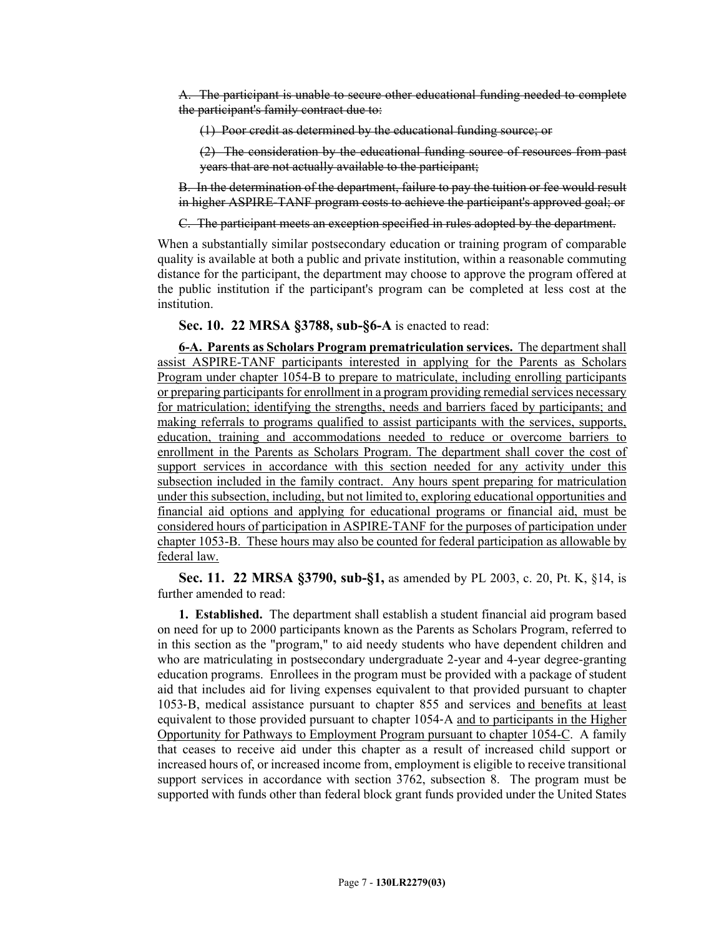A. The participant is unable to secure other educational funding needed to complete the participant's family contract due to:

(1) Poor credit as determined by the educational funding source; or

(2) The consideration by the educational funding source of resources from past years that are not actually available to the participant;

B. In the determination of the department, failure to pay the tuition or fee would result in higher ASPIRE-TANF program costs to achieve the participant's approved goal; or

C. The participant meets an exception specified in rules adopted by the department.

When a substantially similar postsecondary education or training program of comparable quality is available at both a public and private institution, within a reasonable commuting distance for the participant, the department may choose to approve the program offered at the public institution if the participant's program can be completed at less cost at the institution.

**Sec. 10. 22 MRSA §3788, sub-§6-A** is enacted to read:

**6-A. Parents as Scholars Program prematriculation services.** The department shall assist ASPIRE-TANF participants interested in applying for the Parents as Scholars Program under chapter 1054-B to prepare to matriculate, including enrolling participants or preparing participants for enrollment in a program providing remedial services necessary for matriculation; identifying the strengths, needs and barriers faced by participants; and making referrals to programs qualified to assist participants with the services, supports, education, training and accommodations needed to reduce or overcome barriers to enrollment in the Parents as Scholars Program. The department shall cover the cost of support services in accordance with this section needed for any activity under this subsection included in the family contract. Any hours spent preparing for matriculation under this subsection, including, but not limited to, exploring educational opportunities and financial aid options and applying for educational programs or financial aid, must be considered hours of participation in ASPIRE-TANF for the purposes of participation under chapter 1053-B. These hours may also be counted for federal participation as allowable by federal law.

**Sec. 11. 22 MRSA §3790, sub-§1,** as amended by PL 2003, c. 20, Pt. K, §14, is further amended to read:

**1. Established.** The department shall establish a student financial aid program based on need for up to 2000 participants known as the Parents as Scholars Program, referred to in this section as the "program," to aid needy students who have dependent children and who are matriculating in postsecondary undergraduate 2-year and 4-year degree-granting education programs. Enrollees in the program must be provided with a package of student aid that includes aid for living expenses equivalent to that provided pursuant to chapter 1053‑B, medical assistance pursuant to chapter 855 and services and benefits at least equivalent to those provided pursuant to chapter 1054‑A and to participants in the Higher Opportunity for Pathways to Employment Program pursuant to chapter 1054-C. A family that ceases to receive aid under this chapter as a result of increased child support or increased hours of, or increased income from, employment is eligible to receive transitional support services in accordance with section 3762, subsection 8. The program must be supported with funds other than federal block grant funds provided under the United States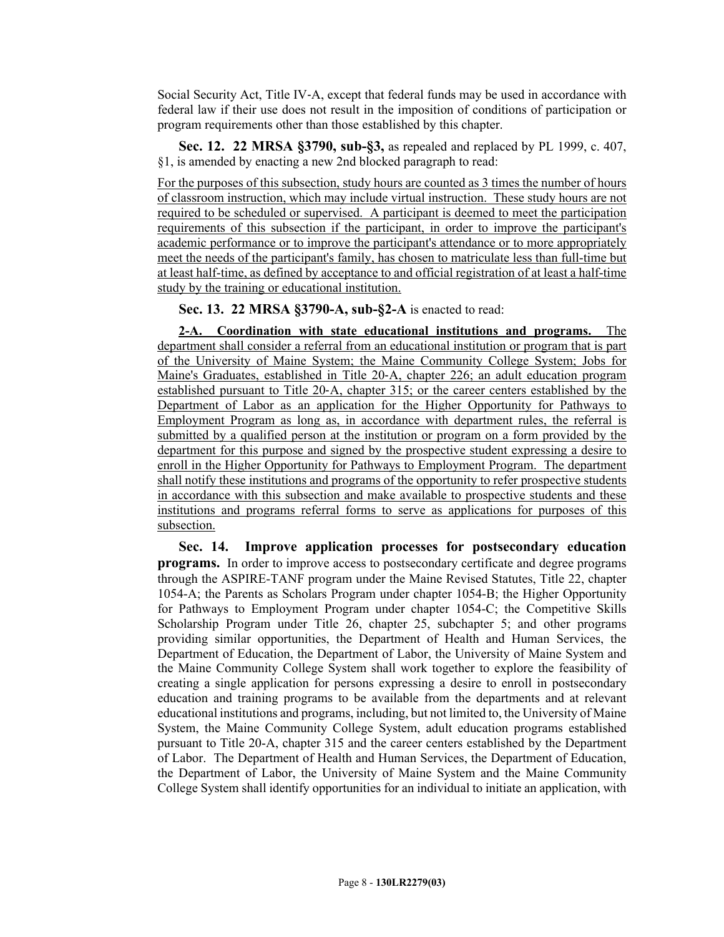Social Security Act, Title IV‑A, except that federal funds may be used in accordance with federal law if their use does not result in the imposition of conditions of participation or program requirements other than those established by this chapter.

**Sec. 12. 22 MRSA §3790, sub-§3,** as repealed and replaced by PL 1999, c. 407, §1, is amended by enacting a new 2nd blocked paragraph to read:

For the purposes of this subsection, study hours are counted as 3 times the number of hours of classroom instruction, which may include virtual instruction. These study hours are not required to be scheduled or supervised. A participant is deemed to meet the participation requirements of this subsection if the participant, in order to improve the participant's academic performance or to improve the participant's attendance or to more appropriately meet the needs of the participant's family, has chosen to matriculate less than full-time but at least half-time, as defined by acceptance to and official registration of at least a half-time study by the training or educational institution.

**Sec. 13. 22 MRSA §3790-A, sub-§2-A** is enacted to read:

**2-A. Coordination with state educational institutions and programs.** The department shall consider a referral from an educational institution or program that is part of the University of Maine System; the Maine Community College System; Jobs for Maine's Graduates, established in Title 20‑A, chapter 226; an adult education program established pursuant to Title 20‑A, chapter 315; or the career centers established by the Department of Labor as an application for the Higher Opportunity for Pathways to Employment Program as long as, in accordance with department rules, the referral is submitted by a qualified person at the institution or program on a form provided by the department for this purpose and signed by the prospective student expressing a desire to enroll in the Higher Opportunity for Pathways to Employment Program. The department shall notify these institutions and programs of the opportunity to refer prospective students in accordance with this subsection and make available to prospective students and these institutions and programs referral forms to serve as applications for purposes of this subsection.

**Sec. 14. Improve application processes for postsecondary education programs.** In order to improve access to postsecondary certificate and degree programs through the ASPIRE-TANF program under the Maine Revised Statutes, Title 22, chapter 1054-A; the Parents as Scholars Program under chapter 1054-B; the Higher Opportunity for Pathways to Employment Program under chapter 1054-C; the Competitive Skills Scholarship Program under Title 26, chapter 25, subchapter 5; and other programs providing similar opportunities, the Department of Health and Human Services, the Department of Education, the Department of Labor, the University of Maine System and the Maine Community College System shall work together to explore the feasibility of creating a single application for persons expressing a desire to enroll in postsecondary education and training programs to be available from the departments and at relevant educational institutions and programs, including, but not limited to, the University of Maine System, the Maine Community College System, adult education programs established pursuant to Title 20-A, chapter 315 and the career centers established by the Department of Labor. The Department of Health and Human Services, the Department of Education, the Department of Labor, the University of Maine System and the Maine Community College System shall identify opportunities for an individual to initiate an application, with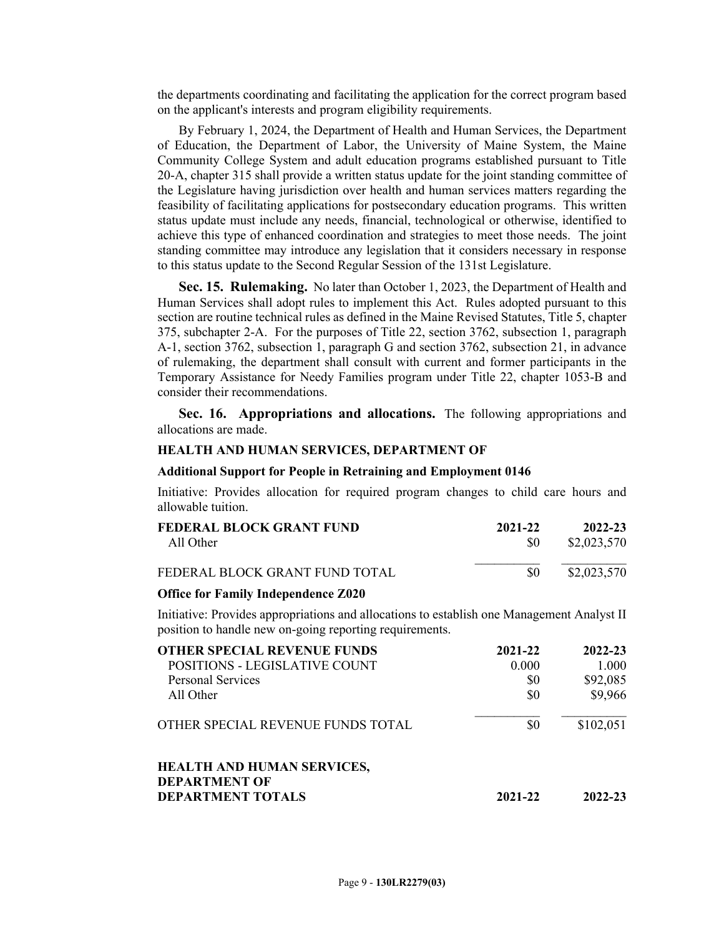the departments coordinating and facilitating the application for the correct program based on the applicant's interests and program eligibility requirements.

By February 1, 2024, the Department of Health and Human Services, the Department of Education, the Department of Labor, the University of Maine System, the Maine Community College System and adult education programs established pursuant to Title 20-A, chapter 315 shall provide a written status update for the joint standing committee of the Legislature having jurisdiction over health and human services matters regarding the feasibility of facilitating applications for postsecondary education programs. This written status update must include any needs, financial, technological or otherwise, identified to achieve this type of enhanced coordination and strategies to meet those needs. The joint standing committee may introduce any legislation that it considers necessary in response to this status update to the Second Regular Session of the 131st Legislature.

**Sec. 15. Rulemaking.** No later than October 1, 2023, the Department of Health and Human Services shall adopt rules to implement this Act. Rules adopted pursuant to this section are routine technical rules as defined in the Maine Revised Statutes, Title 5, chapter 375, subchapter 2-A. For the purposes of Title 22, section 3762, subsection 1, paragraph A-1, section 3762, subsection 1, paragraph G and section 3762, subsection 21, in advance of rulemaking, the department shall consult with current and former participants in the Temporary Assistance for Needy Families program under Title 22, chapter 1053-B and consider their recommendations.

**Sec. 16. Appropriations and allocations.** The following appropriations and allocations are made.

### **HEALTH AND HUMAN SERVICES, DEPARTMENT OF**

#### **Additional Support for People in Retraining and Employment 0146**

Initiative: Provides allocation for required program changes to child care hours and allowable tuition.

| FEDERAL BLOCK GRANT FUND       | 2021-22 | 2022-23     |
|--------------------------------|---------|-------------|
| All Other                      | -80     | \$2,023,570 |
| FEDERAL BLOCK GRANT FUND TOTAL | \$0     | \$2,023,570 |

#### **Office for Family Independence Z020**

Initiative: Provides appropriations and allocations to establish one Management Analyst II position to handle new on-going reporting requirements.

| <b>OTHER SPECIAL REVENUE FUNDS</b>                        | 2021-22 | 2022-23   |
|-----------------------------------------------------------|---------|-----------|
| POSITIONS - LEGISLATIVE COUNT                             | 0.000   | 1.000     |
| <b>Personal Services</b>                                  | \$0     | \$92,085  |
| All Other                                                 | \$0     | \$9,966   |
| OTHER SPECIAL REVENUE FUNDS TOTAL                         | \$0     | \$102,051 |
| <b>HEALTH AND HUMAN SERVICES,</b><br><b>DEPARTMENT OF</b> |         |           |
| <b>DEPARTMENT TOTALS</b>                                  | 2021-22 | 2022-23   |